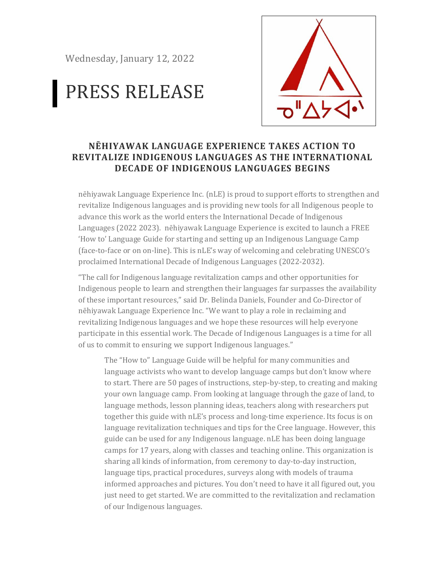Wednesday, January 12, 2022

## PRESS RELEASE



## **NĒHIYAWAK LANGUAGE EXPERIENCE TAKES ACTION TO REVITALIZE INDIGENOUS LANGUAGES AS THE INTERNATIONAL DECADE OF INDIGENOUS LANGUAGES BEGINS**

nēhiyawak Language Experience Inc. (nLE) is proud to support efforts to strengthen and revitalize Indigenous languages and is providing new tools for all Indigenous people to advance this work as the world enters the International Decade of Indigenous Languages (2022 2023). nēhiyawak Language Experience is excited to launch a FREE 'How to' Language Guide for starting and setting up an Indigenous Language Camp (face-to-face or on on-line). This is nLE's way of welcoming and celebrating UNESCO's proclaimed International Decade of Indigenous Languages (2022-2032).

"The call for Indigenous language revitalization camps and other opportunities for Indigenous people to learn and strengthen their languages far surpasses the availability of these important resources," said Dr. Belinda Daniels, Founder and Co-Director of nēhiyawak Language Experience Inc. "We want to play a role in reclaiming and revitalizing Indigenous languages and we hope these resources will help everyone participate in this essential work. The Decade of Indigenous Languages is a time for all of us to commit to ensuring we support Indigenous languages."

The "How to" Language Guide will be helpful for many communities and language activists who want to develop language camps but don't know where to start. There are 50 pages of instructions, step-by-step, to creating and making your own language camp. From looking at language through the gaze of land, to language methods, lesson planning ideas, teachers along with researchers put together this guide with nLE's process and long-time experience. Its focus is on language revitalization techniques and tips for the Cree language. However, this guide can be used for any Indigenous language. nLE has been doing language camps for 17 years, along with classes and teaching online. This organization is sharing all kinds of information, from ceremony to day-to-day instruction, language tips, practical procedures, surveys along with models of trauma informed approaches and pictures. You don't need to have it all figured out, you just need to get started. We are committed to the revitalization and reclamation of our Indigenous languages.